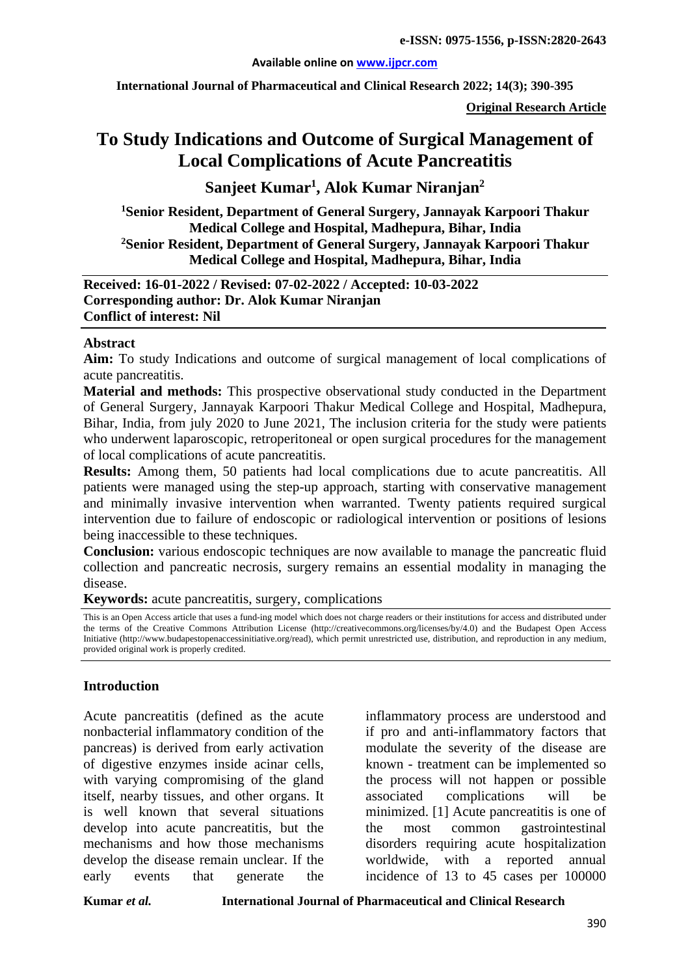### **Available online on [www.ijpcr.com](http://www.ijpcr.com/)**

**International Journal of Pharmaceutical and Clinical Research 2022; 14(3); 390-395**

**Original Research Article**

# **To Study Indications and Outcome of Surgical Management of Local Complications of Acute Pancreatitis**

**Sanjeet Kumar1 , Alok Kumar Niranjan<sup>2</sup>**

**1Senior Resident, Department of General Surgery, Jannayak Karpoori Thakur Medical College and Hospital, Madhepura, Bihar, India 2Senior Resident, Department of General Surgery, Jannayak Karpoori Thakur Medical College and Hospital, Madhepura, Bihar, India**

**Received: 16-01-2022 / Revised: 07-02-2022 / Accepted: 10-03-2022 Corresponding author: Dr. Alok Kumar Niranjan Conflict of interest: Nil**

### **Abstract**

**Aim:** To study Indications and outcome of surgical management of local complications of acute pancreatitis.

**Material and methods:** This prospective observational study conducted in the Department of General Surgery, Jannayak Karpoori Thakur Medical College and Hospital, Madhepura, Bihar, India, from july 2020 to June 2021, The inclusion criteria for the study were patients who underwent laparoscopic, retroperitoneal or open surgical procedures for the management of local complications of acute pancreatitis.

**Results:** Among them, 50 patients had local complications due to acute pancreatitis. All patients were managed using the step-up approach, starting with conservative management and minimally invasive intervention when warranted. Twenty patients required surgical intervention due to failure of endoscopic or radiological intervention or positions of lesions being inaccessible to these techniques.

**Conclusion:** various endoscopic techniques are now available to manage the pancreatic fluid collection and pancreatic necrosis, surgery remains an essential modality in managing the disease.

**Keywords:** acute pancreatitis, surgery, complications

This is an Open Access article that uses a fund-ing model which does not charge readers or their institutions for access and distributed under the terms of the Creative Commons Attribution License (http://creativecommons.org/licenses/by/4.0) and the Budapest Open Access Initiative (http://www.budapestopenaccessinitiative.org/read), which permit unrestricted use, distribution, and reproduction in any medium, provided original work is properly credited.

### **Introduction**

Acute pancreatitis (defined as the acute nonbacterial inflammatory condition of the pancreas) is derived from early activation of digestive enzymes inside acinar cells, with varying compromising of the gland itself, nearby tissues, and other organs. It is well known that several situations develop into acute pancreatitis, but the mechanisms and how those mechanisms develop the disease remain unclear. If the early events that generate the

inflammatory process are understood and if pro and anti-inflammatory factors that modulate the severity of the disease are known - treatment can be implemented so the process will not happen or possible associated complications will be minimized. [1] Acute pancreatitis is one of the most common gastrointestinal disorders requiring acute hospitalization worldwide, with a reported annual incidence of 13 to 45 cases per 100000

**Kumar** *et al.* **International Journal of Pharmaceutical and Clinical Research**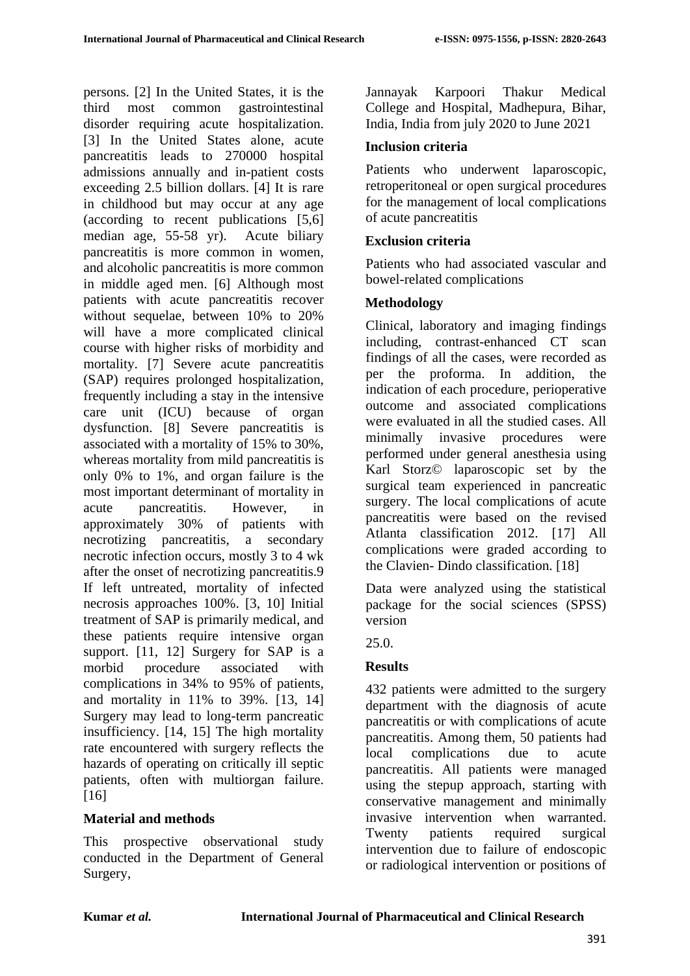persons. [2] In the United States, it is the third most common gastrointestinal disorder requiring acute hospitalization. [3] In the United States alone, acute pancreatitis leads to 270000 hospital admissions annually and in-patient costs exceeding 2.5 billion dollars. [4] It is rare in childhood but may occur at any age (according to recent publications [5,6] median age, 55-58 yr). Acute biliary pancreatitis is more common in women, and alcoholic pancreatitis is more common in middle aged men. [6] Although most patients with acute pancreatitis recover without sequelae, between 10% to 20% will have a more complicated clinical course with higher risks of morbidity and mortality. [7] Severe acute pancreatitis (SAP) requires prolonged hospitalization, frequently including a stay in the intensive care unit (ICU) because of organ dysfunction. [8] Severe pancreatitis is associated with a mortality of 15% to 30%, whereas mortality from mild pancreatitis is only 0% to 1%, and organ failure is the most important determinant of mortality in acute pancreatitis. However, in approximately 30% of patients with necrotizing pancreatitis, a secondary necrotic infection occurs, mostly 3 to 4 wk after the onset of necrotizing pancreatitis.9 If left untreated, mortality of infected necrosis approaches 100%. [3, 10] Initial treatment of SAP is primarily medical, and these patients require intensive organ support. [11, 12] Surgery for SAP is a morbid procedure associated with complications in 34% to 95% of patients, and mortality in 11% to 39%. [13, 14] Surgery may lead to long-term pancreatic insufficiency. [14, 15] The high mortality rate encountered with surgery reflects the hazards of operating on critically ill septic patients, often with multiorgan failure. [16]

# **Material and methods**

This prospective observational study conducted in the Department of General Surgery,

Jannayak Karpoori Thakur Medical College and Hospital, Madhepura, Bihar, India, India from july 2020 to June 2021

# **Inclusion criteria**

Patients who underwent laparoscopic, retroperitoneal or open surgical procedures for the management of local complications of acute pancreatitis

# **Exclusion criteria**

Patients who had associated vascular and bowel-related complications

# **Methodology**

Clinical, laboratory and imaging findings including, contrast-enhanced CT scan findings of all the cases, were recorded as per the proforma. In addition, the indication of each procedure, perioperative outcome and associated complications were evaluated in all the studied cases. All minimally invasive procedures were performed under general anesthesia using Karl Storz© laparoscopic set by the surgical team experienced in pancreatic surgery. The local complications of acute pancreatitis were based on the revised Atlanta classification 2012. [17] All complications were graded according to the Clavien- Dindo classification. [18]

Data were analyzed using the statistical package for the social sciences (SPSS) version

25.0.

# **Results**

432 patients were admitted to the surgery department with the diagnosis of acute pancreatitis or with complications of acute pancreatitis. Among them, 50 patients had local complications due to acute pancreatitis. All patients were managed using the stepup approach, starting with conservative management and minimally invasive intervention when warranted. Twenty patients required surgical intervention due to failure of endoscopic or radiological intervention or positions of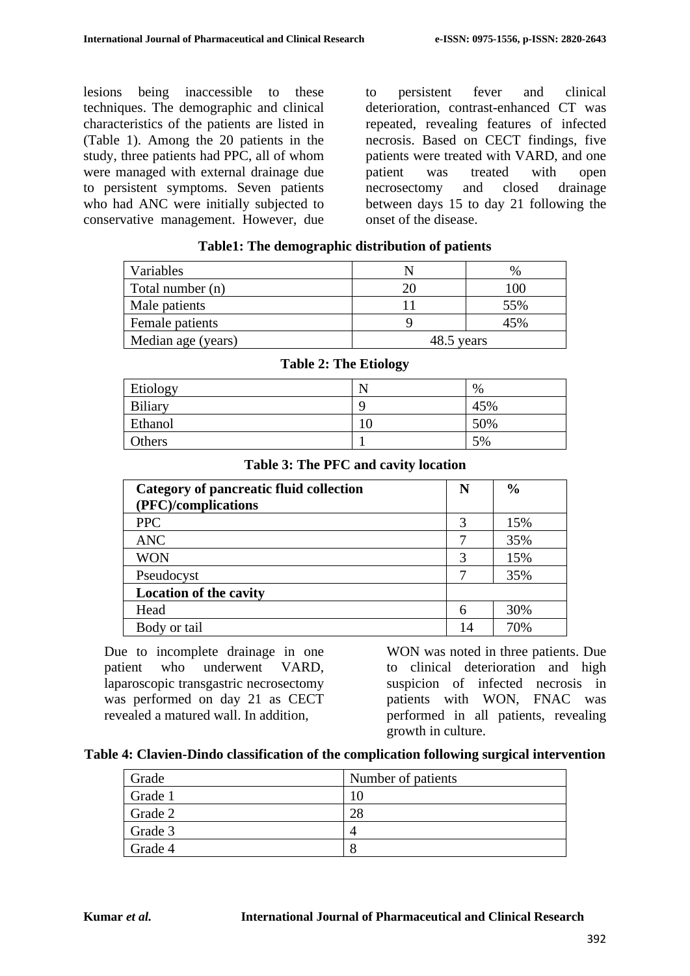lesions being inaccessible to these techniques. The demographic and clinical characteristics of the patients are listed in (Table 1). Among the 20 patients in the study, three patients had PPC, all of whom were managed with external drainage due to persistent symptoms. Seven patients who had ANC were initially subjected to conservative management. However, due

to persistent fever and clinical deterioration, contrast-enhanced CT was repeated, revealing features of infected necrosis. Based on CECT findings, five patients were treated with VARD, and one patient was treated with open necrosectomy and closed drainage between days 15 to day 21 following the onset of the disease.

| Variables          |            | %   |
|--------------------|------------|-----|
| Total number (n)   | 20         | 100 |
| Male patients      | 11         | 55% |
| Female patients    | Q          | 45% |
| Median age (years) | 48.5 years |     |

# **Table1: The demographic distribution of patients**

|                | -- |     |
|----------------|----|-----|
| Etiology       | N  | %   |
| <b>Biliary</b> |    | 45% |
| Ethanol        | 10 | 50% |
| Others         |    | 5%  |

**Table 2: The Etiology**

### **Table 3: The PFC and cavity location**

| Category of pancreatic fluid collection<br>(PFC)/complications | N  | $\frac{6}{6}$ |
|----------------------------------------------------------------|----|---------------|
| <b>PPC</b>                                                     |    | 15%           |
| <b>ANC</b>                                                     |    | 35%           |
| <b>WON</b>                                                     | 3  | 15%           |
| Pseudocyst                                                     |    | 35%           |
| <b>Location of the cavity</b>                                  |    |               |
| Head                                                           |    | 30%           |
| Body or tail                                                   | 14 | 70%           |

Due to incomplete drainage in one patient who underwent VARD, laparoscopic transgastric necrosectomy was performed on day 21 as CECT revealed a matured wall. In addition,

WON was noted in three patients. Due to clinical deterioration and high suspicion of infected necrosis in patients with WON, FNAC was performed in all patients, revealing growth in culture.

#### **Table 4: Clavien-Dindo classification of the complication following surgical intervention**

| Grade   | Number of patients |
|---------|--------------------|
| Grade 1 |                    |
| Grade 2 |                    |
| Grade 3 |                    |
| Grade 4 |                    |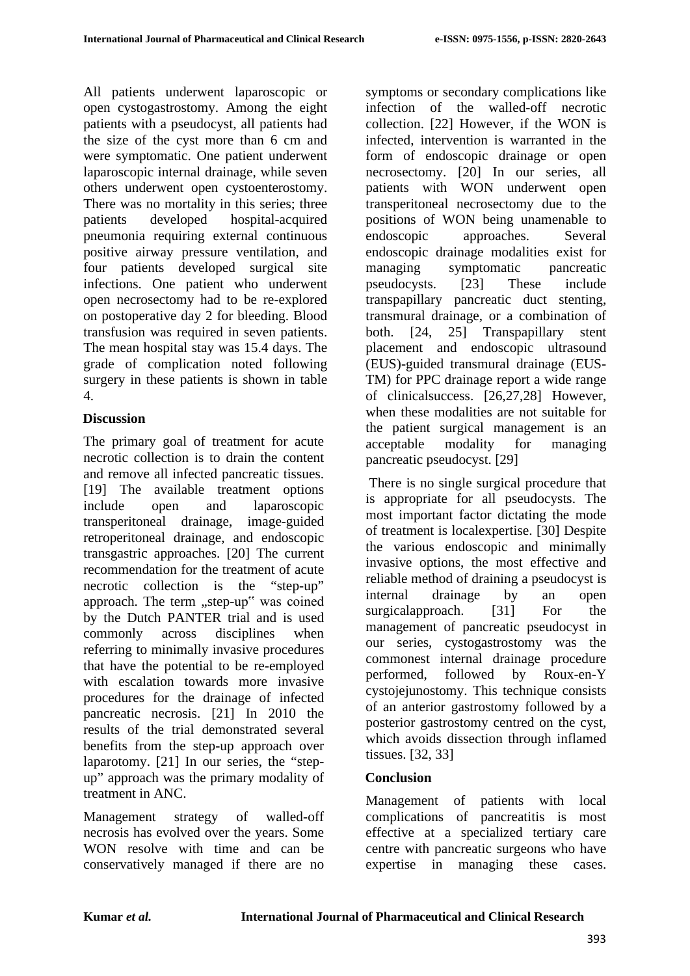All patients underwent laparoscopic or open cystogastrostomy. Among the eight patients with a pseudocyst, all patients had the size of the cyst more than 6 cm and were symptomatic. One patient underwent laparoscopic internal drainage, while seven others underwent open cystoenterostomy. There was no mortality in this series; three patients developed hospital-acquired pneumonia requiring external continuous positive airway pressure ventilation, and four patients developed surgical site infections. One patient who underwent open necrosectomy had to be re-explored on postoperative day 2 for bleeding. Blood transfusion was required in seven patients. The mean hospital stay was 15.4 days. The grade of complication noted following surgery in these patients is shown in table 4.

### **Discussion**

The primary goal of treatment for acute necrotic collection is to drain the content and remove all infected pancreatic tissues. [19] The available treatment options include open and laparoscopic transperitoneal drainage, image-guided retroperitoneal drainage, and endoscopic transgastric approaches. [20] The current recommendation for the treatment of acute necrotic collection is the "step-up" approach. The term "step-up" was coined by the Dutch PANTER trial and is used commonly across disciplines when referring to minimally invasive procedures that have the potential to be re-employed with escalation towards more invasive procedures for the drainage of infected pancreatic necrosis. [21] In 2010 the results of the trial demonstrated several benefits from the step-up approach over laparotomy. [21] In our series, the "stepup" approach was the primary modality of treatment in ANC.

Management strategy of walled-off necrosis has evolved over the years. Some WON resolve with time and can be conservatively managed if there are no symptoms or secondary complications like infection of the walled-off necrotic collection. [22] However, if the WON is infected, intervention is warranted in the form of endoscopic drainage or open necrosectomy. [20] In our series, all patients with WON underwent open transperitoneal necrosectomy due to the positions of WON being unamenable to endoscopic approaches. Several endoscopic drainage modalities exist for managing symptomatic pancreatic pseudocysts. [23] These include transpapillary pancreatic duct stenting, transmural drainage, or a combination of both. [24, 25] Transpapillary stent placement and endoscopic ultrasound (EUS)-guided transmural drainage (EUS-TM) for PPC drainage report a wide range of clinicalsuccess. [26,27,28] However, when these modalities are not suitable for the patient surgical management is an acceptable modality for managing pancreatic pseudocyst. [29]

There is no single surgical procedure that is appropriate for all pseudocysts. The most important factor dictating the mode of treatment is localexpertise. [30] Despite the various endoscopic and minimally invasive options, the most effective and reliable method of draining a pseudocyst is internal drainage by an open surgicalapproach. [31] For the management of pancreatic pseudocyst in our series, cystogastrostomy was the commonest internal drainage procedure performed, followed by Roux-en-Y cystojejunostomy. This technique consists of an anterior gastrostomy followed by a posterior gastrostomy centred on the cyst, which avoids dissection through inflamed tissues. [32, 33]

### **Conclusion**

Management of patients with local complications of pancreatitis is most effective at a specialized tertiary care centre with pancreatic surgeons who have expertise in managing these cases.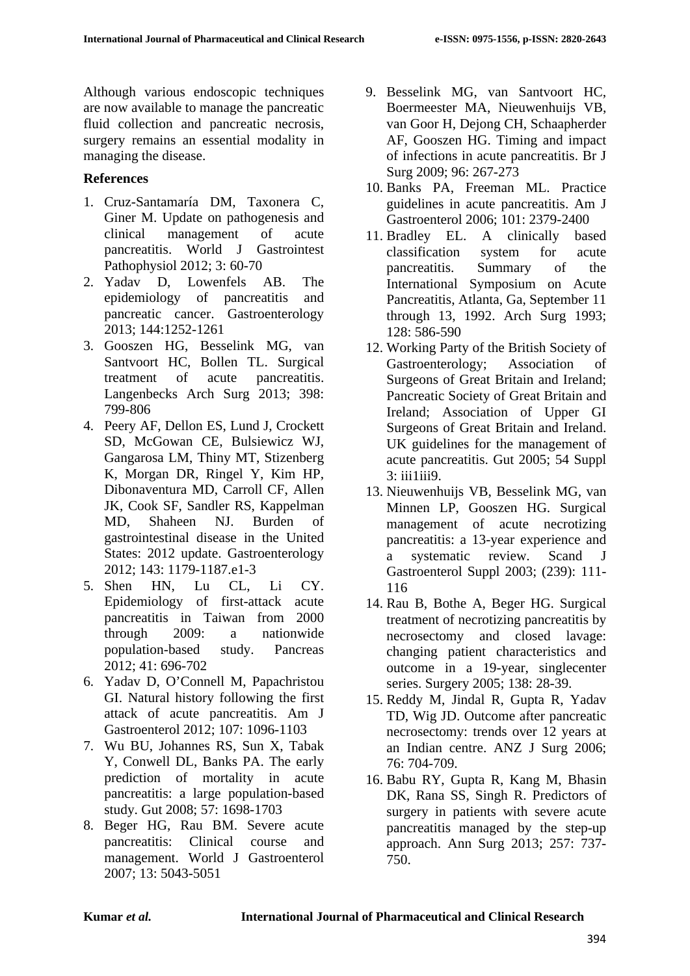Although various endoscopic techniques are now available to manage the pancreatic fluid collection and pancreatic necrosis, surgery remains an essential modality in managing the disease.

## **References**

- 1. Cruz-Santamaría DM, Taxonera C, Giner M. Update on pathogenesis and clinical management of acute pancreatitis. World J Gastrointest Pathophysiol 2012; 3: 60-70
- 2. Yadav D, Lowenfels AB. The epidemiology of pancreatitis and pancreatic cancer. Gastroenterology 2013; 144:1252-1261
- 3. Gooszen HG, Besselink MG, van Santvoort HC, Bollen TL. Surgical treatment of acute pancreatitis. Langenbecks Arch Surg 2013; 398: 799-806
- 4. Peery AF, Dellon ES, Lund J, Crockett SD, McGowan CE, Bulsiewicz WJ, Gangarosa LM, Thiny MT, Stizenberg K, Morgan DR, Ringel Y, Kim HP, Dibonaventura MD, Carroll CF, Allen JK, Cook SF, Sandler RS, Kappelman MD, Shaheen NJ. Burden of gastrointestinal disease in the United States: 2012 update. Gastroenterology 2012; 143: 1179-1187.e1-3
- 5. Shen HN, Lu CL, Li CY. Epidemiology of first-attack acute pancreatitis in Taiwan from 2000 through 2009: a nationwide population-based study. Pancreas 2012; 41: 696-702
- 6. Yadav D, O'Connell M, Papachristou GI. Natural history following the first attack of acute pancreatitis. Am J Gastroenterol 2012; 107: 1096-1103
- 7. Wu BU, Johannes RS, Sun X, Tabak Y, Conwell DL, Banks PA. The early prediction of mortality in acute pancreatitis: a large population-based study. Gut 2008; 57: 1698-1703
- 8. Beger HG, Rau BM. Severe acute pancreatitis: Clinical course and management. World J Gastroenterol 2007; 13: 5043-5051
- 9. Besselink MG, van Santvoort HC, Boermeester MA, Nieuwenhuijs VB, van Goor H, Dejong CH, Schaapherder AF, Gooszen HG. Timing and impact of infections in acute pancreatitis. Br J Surg 2009; 96: 267-273
- 10. Banks PA, Freeman ML. Practice guidelines in acute pancreatitis. Am J Gastroenterol 2006; 101: 2379-2400
- 11. Bradley EL. A clinically based classification system for acute pancreatitis. Summary of the International Symposium on Acute Pancreatitis, Atlanta, Ga, September 11 through 13, 1992. Arch Surg 1993; 128: 586-590
- 12. Working Party of the British Society of Gastroenterology; Association of Surgeons of Great Britain and Ireland; Pancreatic Society of Great Britain and Ireland; Association of Upper GI Surgeons of Great Britain and Ireland. UK guidelines for the management of acute pancreatitis. Gut 2005; 54 Suppl 3: iii1iii9.
- 13. Nieuwenhuijs VB, Besselink MG, van Minnen LP, Gooszen HG. Surgical management of acute necrotizing pancreatitis: a 13-year experience and a systematic review. Scand J Gastroenterol Suppl 2003; (239): 111- 116
- 14. Rau B, Bothe A, Beger HG. Surgical treatment of necrotizing pancreatitis by necrosectomy and closed lavage: changing patient characteristics and outcome in a 19-year, singlecenter series. Surgery 2005; 138: 28-39.
- 15. Reddy M, Jindal R, Gupta R, Yadav TD, Wig JD. Outcome after pancreatic necrosectomy: trends over 12 years at an Indian centre. ANZ J Surg 2006; 76: 704-709.
- 16. Babu RY, Gupta R, Kang M, Bhasin DK, Rana SS, Singh R. Predictors of surgery in patients with severe acute pancreatitis managed by the step-up approach. Ann Surg 2013; 257: 737- 750.